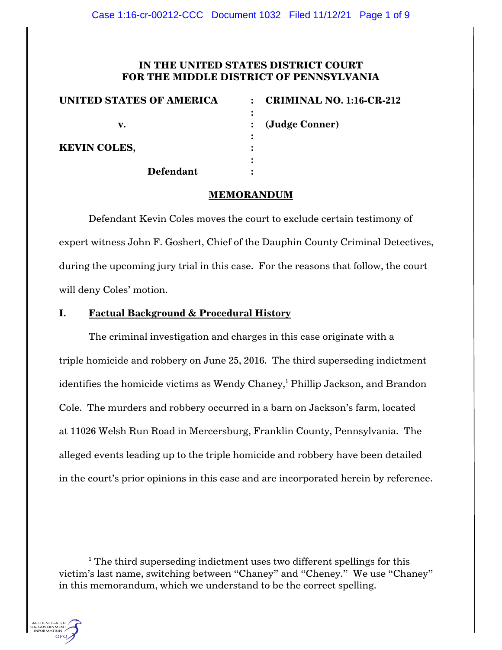# **IN THE UNITED STATES DISTRICT COURT FOR THE MIDDLE DISTRICT OF PENNSYLVANIA**

| <b>UNITED STATES OF AMERICA</b> | <b>CRIMINAL NO. 1:16-CR-212</b><br>$\sim$ |
|---------------------------------|-------------------------------------------|
|                                 |                                           |
| v.                              | (Judge Conner)                            |
|                                 |                                           |
| <b>KEVIN COLES,</b>             |                                           |
|                                 |                                           |
| <b>Defendant</b>                |                                           |

## **MEMORANDUM**

Defendant Kevin Coles moves the court to exclude certain testimony of expert witness John F. Goshert, Chief of the Dauphin County Criminal Detectives, during the upcoming jury trial in this case. For the reasons that follow, the court will deny Coles' motion.

## **I. Factual Background & Procedural History**

The criminal investigation and charges in this case originate with a triple homicide and robbery on June 25, 2016. The third superseding indictment identifies the homicide victims as Wendy Chaney,<sup>1</sup> Phillip Jackson, and Brandon Cole. The murders and robbery occurred in a barn on Jackson's farm, located at 11026 Welsh Run Road in Mercersburg, Franklin County, Pennsylvania. The alleged events leading up to the triple homicide and robbery have been detailed in the court's prior opinions in this case and are incorporated herein by reference.

 $1$ <sup>1</sup> The third superseding indictment uses two different spellings for this victim's last name, switching between "Chaney" and "Cheney." We use "Chaney" in this memorandum, which we understand to be the correct spelling.

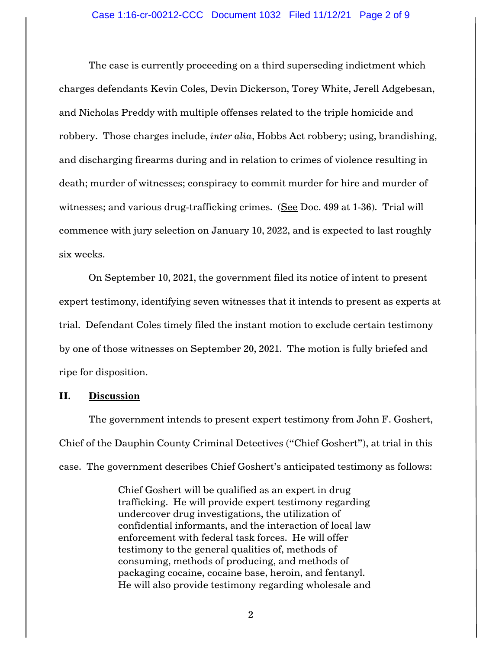#### Case 1:16-cr-00212-CCC Document 1032 Filed 11/12/21 Page 2 of 9

The case is currently proceeding on a third superseding indictment which charges defendants Kevin Coles, Devin Dickerson, Torey White, Jerell Adgebesan, and Nicholas Preddy with multiple offenses related to the triple homicide and robbery. Those charges include, *inter alia*, Hobbs Act robbery; using, brandishing, and discharging firearms during and in relation to crimes of violence resulting in death; murder of witnesses; conspiracy to commit murder for hire and murder of witnesses; and various drug-trafficking crimes. (See Doc. 499 at 1-36). Trial will commence with jury selection on January 10, 2022, and is expected to last roughly six weeks.

On September 10, 2021, the government filed its notice of intent to present expert testimony, identifying seven witnesses that it intends to present as experts at trial. Defendant Coles timely filed the instant motion to exclude certain testimony by one of those witnesses on September 20, 2021. The motion is fully briefed and ripe for disposition.

## **II. Discussion**

The government intends to present expert testimony from John F. Goshert, Chief of the Dauphin County Criminal Detectives ("Chief Goshert"), at trial in this case. The government describes Chief Goshert's anticipated testimony as follows:

> Chief Goshert will be qualified as an expert in drug trafficking. He will provide expert testimony regarding undercover drug investigations, the utilization of confidential informants, and the interaction of local law enforcement with federal task forces. He will offer testimony to the general qualities of, methods of consuming, methods of producing, and methods of packaging cocaine, cocaine base, heroin, and fentanyl. He will also provide testimony regarding wholesale and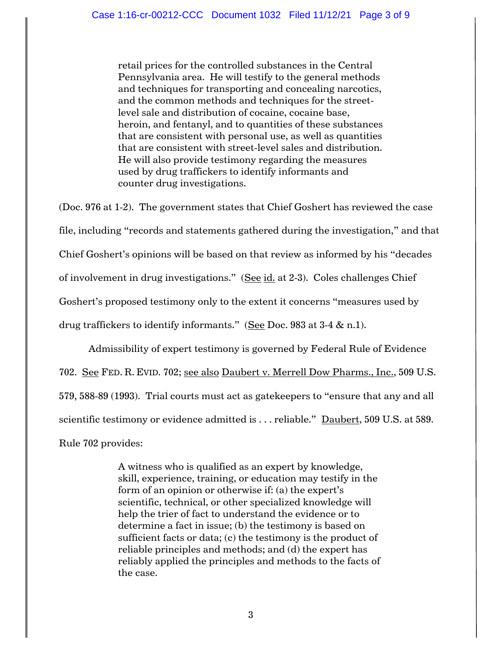retail prices for the controlled substances in the Central Pennsylvania area. He will testify to the general methods and techniques for transporting and concealing narcotics, and the common methods and techniques for the streetlevel sale and distribution of cocaine, cocaine base, heroin, and fentanyl, and to quantities of these substances that are consistent with personal use, as well as quantities that are consistent with street-level sales and distribution. He will also provide testimony regarding the measures used by drug traffickers to identify informants and counter drug investigations.

(Doc. 976 at 1-2). The government states that Chief Goshert has reviewed the case file, including "records and statements gathered during the investigation," and that Chief Goshert's opinions will be based on that review as informed by his "decades of involvement in drug investigations." (See id. at 2-3). Coles challenges Chief Goshert's proposed testimony only to the extent it concerns "measures used by drug traffickers to identify informants." (See Doc. 983 at 3-4 & n.1).

Admissibility of expert testimony is governed by Federal Rule of Evidence 702. See FED. R. EVID. 702; see also Daubert v. Merrell Dow Pharms., Inc., 509 U.S. 579, 588-89 (1993). Trial courts must act as gatekeepers to "ensure that any and all scientific testimony or evidence admitted is ... reliable." Daubert, 509 U.S. at 589. Rule 702 provides:

> A witness who is qualified as an expert by knowledge, skill, experience, training, or education may testify in the form of an opinion or otherwise if: (a) the expert's scientific, technical, or other specialized knowledge will help the trier of fact to understand the evidence or to determine a fact in issue; (b) the testimony is based on sufficient facts or data; (c) the testimony is the product of reliable principles and methods; and (d) the expert has reliably applied the principles and methods to the facts of the case.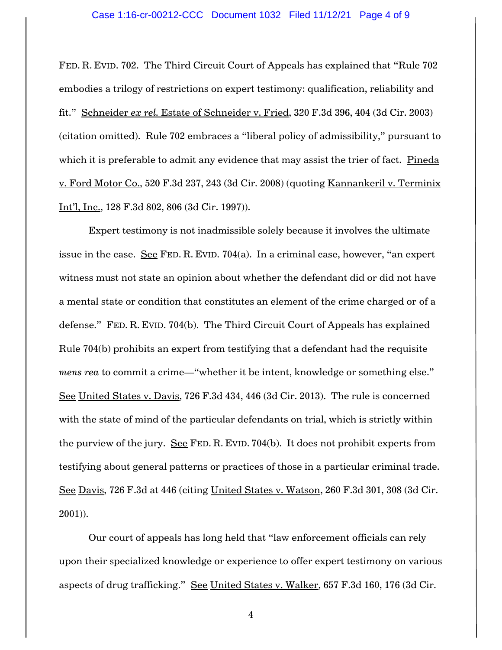#### Case 1:16-cr-00212-CCC Document 1032 Filed 11/12/21 Page 4 of 9

FED. R. EVID. 702. The Third Circuit Court of Appeals has explained that "Rule 702 embodies a trilogy of restrictions on expert testimony: qualification, reliability and fit." Schneider *ex rel.* Estate of Schneider v. Fried, 320 F.3d 396, 404 (3d Cir. 2003) (citation omitted). Rule 702 embraces a "liberal policy of admissibility," pursuant to which it is preferable to admit any evidence that may assist the trier of fact. Pineda v. Ford Motor Co., 520 F.3d 237, 243 (3d Cir. 2008) (quoting Kannankeril v. Terminix Int'l, Inc., 128 F.3d 802, 806 (3d Cir. 1997)).

Expert testimony is not inadmissible solely because it involves the ultimate issue in the case. See FED. R. EVID. 704(a). In a criminal case, however, "an expert witness must not state an opinion about whether the defendant did or did not have a mental state or condition that constitutes an element of the crime charged or of a defense." FED. R. EVID. 704(b). The Third Circuit Court of Appeals has explained Rule 704(b) prohibits an expert from testifying that a defendant had the requisite *mens rea* to commit a crime—"whether it be intent, knowledge or something else." See United States v. Davis, 726 F.3d 434, 446 (3d Cir. 2013). The rule is concerned with the state of mind of the particular defendants on trial, which is strictly within the purview of the jury. See FED. R. EVID. 704(b). It does not prohibit experts from testifying about general patterns or practices of those in a particular criminal trade. See Davis, 726 F.3d at 446 (citing United States v. Watson, 260 F.3d 301, 308 (3d Cir. 2001)).

Our court of appeals has long held that "law enforcement officials can rely upon their specialized knowledge or experience to offer expert testimony on various aspects of drug trafficking." See United States v. Walker, 657 F.3d 160, 176 (3d Cir.

4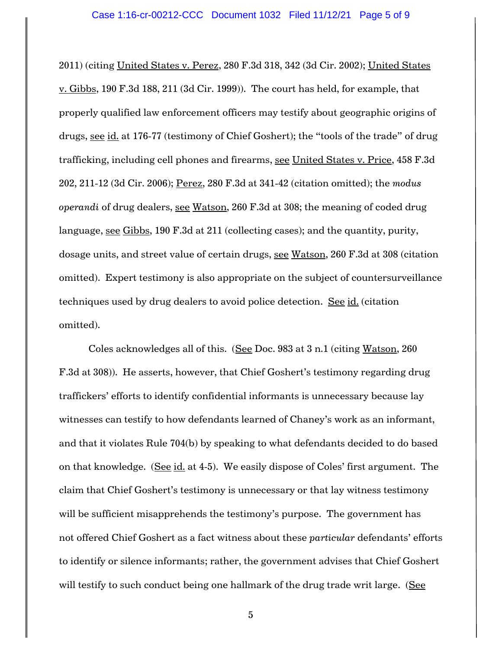2011) (citing United States v. Perez, 280 F.3d 318, 342 (3d Cir. 2002); United States v. Gibbs, 190 F.3d 188, 211 (3d Cir. 1999)). The court has held, for example, that properly qualified law enforcement officers may testify about geographic origins of drugs, see id. at 176-77 (testimony of Chief Goshert); the "tools of the trade" of drug trafficking, including cell phones and firearms, see United States v. Price, 458 F.3d 202, 211-12 (3d Cir. 2006); Perez, 280 F.3d at 341-42 (citation omitted); the *modus operandi* of drug dealers, see Watson, 260 F.3d at 308; the meaning of coded drug language, see Gibbs, 190 F.3d at 211 (collecting cases); and the quantity, purity, dosage units, and street value of certain drugs, see Watson, 260 F.3d at 308 (citation omitted). Expert testimony is also appropriate on the subject of countersurveillance techniques used by drug dealers to avoid police detection. See id. (citation omitted).

Coles acknowledges all of this. (See Doc. 983 at 3 n.1 (citing Watson, 260 F.3d at 308)). He asserts, however, that Chief Goshert's testimony regarding drug traffickers' efforts to identify confidential informants is unnecessary because lay witnesses can testify to how defendants learned of Chaney's work as an informant, and that it violates Rule 704(b) by speaking to what defendants decided to do based on that knowledge. (See id. at 4-5). We easily dispose of Coles' first argument. The claim that Chief Goshert's testimony is unnecessary or that lay witness testimony will be sufficient misapprehends the testimony's purpose. The government has not offered Chief Goshert as a fact witness about these *particular* defendants' efforts to identify or silence informants; rather, the government advises that Chief Goshert will testify to such conduct being one hallmark of the drug trade writ large. (See

5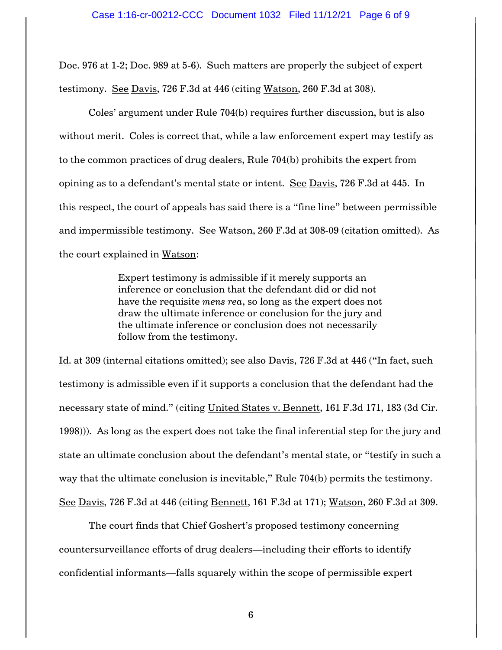Doc. 976 at 1-2; Doc. 989 at 5-6). Such matters are properly the subject of expert testimony. See Davis, 726 F.3d at 446 (citing Watson, 260 F.3d at 308).

Coles' argument under Rule 704(b) requires further discussion, but is also without merit. Coles is correct that, while a law enforcement expert may testify as to the common practices of drug dealers, Rule 704(b) prohibits the expert from opining as to a defendant's mental state or intent. See Davis, 726 F.3d at 445. In this respect, the court of appeals has said there is a "fine line" between permissible and impermissible testimony. See Watson, 260 F.3d at 308-09 (citation omitted). As the court explained in Watson:

> Expert testimony is admissible if it merely supports an inference or conclusion that the defendant did or did not have the requisite *mens rea*, so long as the expert does not draw the ultimate inference or conclusion for the jury and the ultimate inference or conclusion does not necessarily follow from the testimony.

Id. at 309 (internal citations omitted); see also Davis, 726 F.3d at 446 ("In fact, such testimony is admissible even if it supports a conclusion that the defendant had the necessary state of mind." (citing United States v. Bennett, 161 F.3d 171, 183 (3d Cir. 1998))). As long as the expert does not take the final inferential step for the jury and state an ultimate conclusion about the defendant's mental state, or "testify in such a way that the ultimate conclusion is inevitable," Rule 704(b) permits the testimony. See Davis, 726 F.3d at 446 (citing Bennett, 161 F.3d at 171); Watson, 260 F.3d at 309.

The court finds that Chief Goshert's proposed testimony concerning countersurveillance efforts of drug dealers—including their efforts to identify confidential informants—falls squarely within the scope of permissible expert

6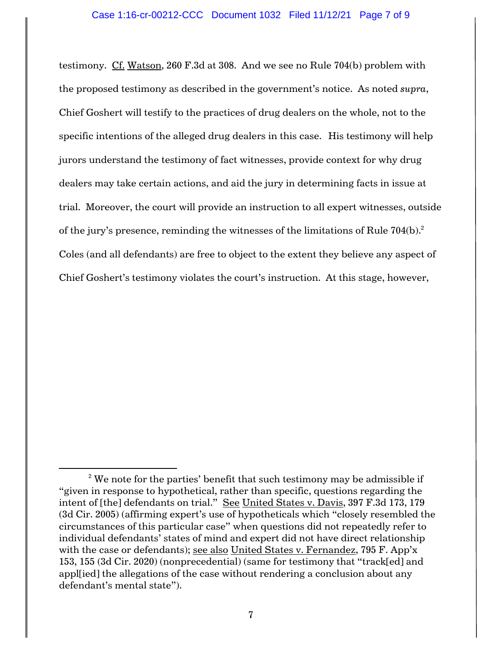testimony. Cf. Watson, 260 F.3d at 308. And we see no Rule 704(b) problem with the proposed testimony as described in the government's notice. As noted *supra*, Chief Goshert will testify to the practices of drug dealers on the whole, not to the specific intentions of the alleged drug dealers in this case. His testimony will help jurors understand the testimony of fact witnesses, provide context for why drug dealers may take certain actions, and aid the jury in determining facts in issue at trial. Moreover, the court will provide an instruction to all expert witnesses, outside of the jury's presence, reminding the witnesses of the limitations of Rule  $704(b).^2$ Coles (and all defendants) are free to object to the extent they believe any aspect of Chief Goshert's testimony violates the court's instruction. At this stage, however,

 $2$ <sup>2</sup> We note for the parties' benefit that such testimony may be admissible if "given in response to hypothetical, rather than specific, questions regarding the intent of [the] defendants on trial." See United States v. Davis, 397 F.3d 173, 179 (3d Cir. 2005) (affirming expert's use of hypotheticals which "closely resembled the circumstances of this particular case" when questions did not repeatedly refer to individual defendants' states of mind and expert did not have direct relationship with the case or defendants); see also United States v. Fernandez, 795 F. App'x 153, 155 (3d Cir. 2020) (nonprecedential) (same for testimony that "track[ed] and appl[ied] the allegations of the case without rendering a conclusion about any defendant's mental state").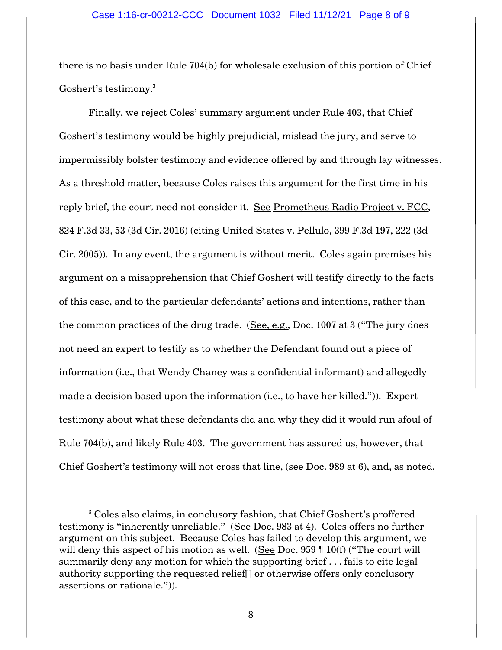there is no basis under Rule 704(b) for wholesale exclusion of this portion of Chief Goshert's testimony.<sup>3</sup>

Finally, we reject Coles' summary argument under Rule 403, that Chief Goshert's testimony would be highly prejudicial, mislead the jury, and serve to impermissibly bolster testimony and evidence offered by and through lay witnesses. As a threshold matter, because Coles raises this argument for the first time in his reply brief, the court need not consider it. See Prometheus Radio Project v. FCC, 824 F.3d 33, 53 (3d Cir. 2016) (citing United States v. Pellulo, 399 F.3d 197, 222 (3d Cir. 2005)). In any event, the argument is without merit. Coles again premises his argument on a misapprehension that Chief Goshert will testify directly to the facts of this case, and to the particular defendants' actions and intentions, rather than the common practices of the drug trade. (See, e.g., Doc. 1007 at 3 ("The jury does not need an expert to testify as to whether the Defendant found out a piece of information (i.e., that Wendy Chaney was a confidential informant) and allegedly made a decision based upon the information (i.e., to have her killed.")). Expert testimony about what these defendants did and why they did it would run afoul of Rule 704(b), and likely Rule 403. The government has assured us, however, that Chief Goshert's testimony will not cross that line, (see Doc. 989 at 6), and, as noted,

<sup>&</sup>lt;sup>3</sup> Coles also claims, in conclusory fashion, that Chief Goshert's proffered testimony is "inherently unreliable." (See Doc. 983 at 4). Coles offers no further argument on this subject. Because Coles has failed to develop this argument, we will deny this aspect of his motion as well. (See Doc. 959  $\P$  10(f) ("The court will summarily deny any motion for which the supporting brief . . . fails to cite legal authority supporting the requested relief[] or otherwise offers only conclusory assertions or rationale.")).